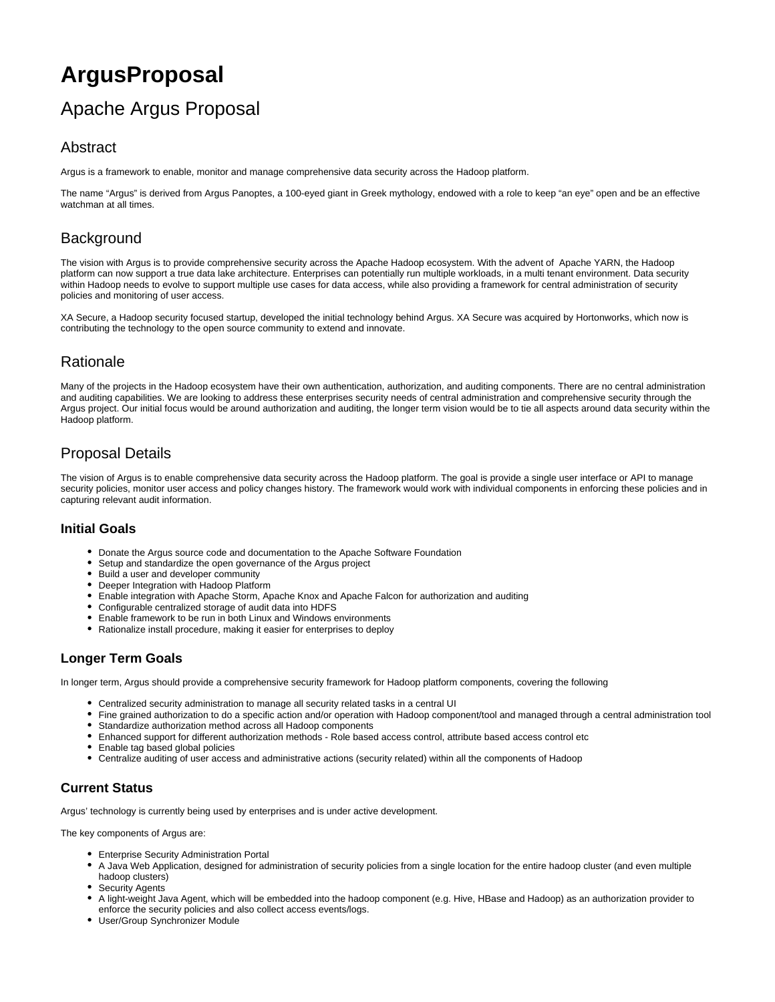# **ArgusProposal**

# Apache Argus Proposal

# Abstract

Argus is a framework to enable, monitor and manage comprehensive data security across the Hadoop platform.

The name "Argus" is derived from Argus Panoptes, a 100-eyed giant in Greek mythology, endowed with a role to keep "an eye" open and be an effective watchman at all times.

# **Background**

The vision with Argus is to provide comprehensive security across the Apache Hadoop ecosystem. With the advent of Apache YARN, the Hadoop platform can now support a true data lake architecture. Enterprises can potentially run multiple workloads, in a multi tenant environment. Data security within Hadoop needs to evolve to support multiple use cases for data access, while also providing a framework for central administration of security policies and monitoring of user access.

XA Secure, a Hadoop security focused startup, developed the initial technology behind Argus. XA Secure was acquired by Hortonworks, which now is contributing the technology to the open source community to extend and innovate.

# Rationale

Many of the projects in the Hadoop ecosystem have their own authentication, authorization, and auditing components. There are no central administration and auditing capabilities. We are looking to address these enterprises security needs of central administration and comprehensive security through the Argus project. Our initial focus would be around authorization and auditing, the longer term vision would be to tie all aspects around data security within the Hadoop platform.

# Proposal Details

The vision of Argus is to enable comprehensive data security across the Hadoop platform. The goal is provide a single user interface or API to manage security policies, monitor user access and policy changes history. The framework would work with individual components in enforcing these policies and in capturing relevant audit information.

### **Initial Goals**

- Donate the Argus source code and documentation to the Apache Software Foundation
- Setup and standardize the open governance of the Argus project
- $\bullet$ Build a user and developer community
- Deeper Integration with Hadoop Platform
- Enable integration with Apache Storm, Apache Knox and Apache Falcon for authorization and auditing
- Configurable centralized storage of audit data into HDFS
- Enable framework to be run in both Linux and Windows environments
- Rationalize install procedure, making it easier for enterprises to deploy

## **Longer Term Goals**

In longer term, Argus should provide a comprehensive security framework for Hadoop platform components, covering the following

- Centralized security administration to manage all security related tasks in a central UI
- Fine grained authorization to do a specific action and/or operation with Hadoop component/tool and managed through a central administration tool
- Standardize authorization method across all Hadoop components
- Enhanced support for different authorization methods Role based access control, attribute based access control etc
- Enable tag based global policies
- Centralize auditing of user access and administrative actions (security related) within all the components of Hadoop

# **Current Status**

Argus' technology is currently being used by enterprises and is under active development.

The key components of Argus are:

- Enterprise Security Administration Portal
- A Java Web Application, designed for administration of security policies from a single location for the entire hadoop cluster (and even multiple hadoop clusters)
- Security Agents
- A light-weight Java Agent, which will be embedded into the hadoop component (e.g. Hive, HBase and Hadoop) as an authorization provider to enforce the security policies and also collect access events/logs.
- User/Group Synchronizer Module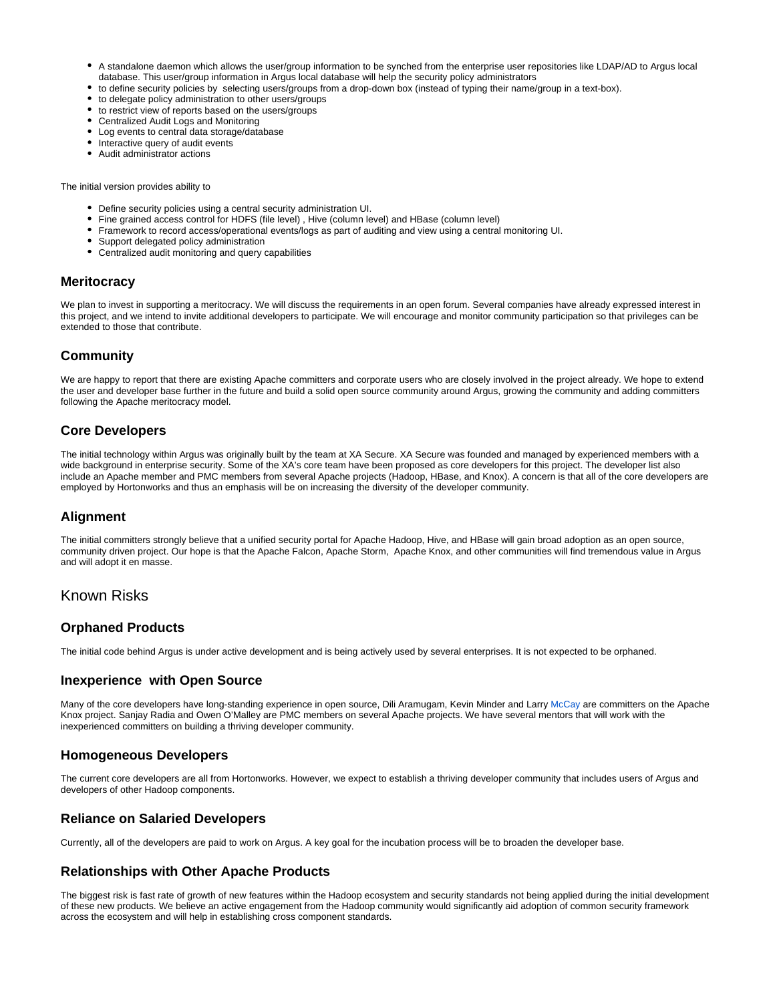- A standalone daemon which allows the user/group information to be synched from the enterprise user repositories like LDAP/AD to Argus local database. This user/group information in Argus local database will help the security policy administrators
- to define security policies by selecting users/groups from a drop-down box (instead of typing their name/group in a text-box).
- to delegate policy administration to other users/groups
- to restrict view of reports based on the users/groups
- Centralized Audit Logs and Monitoring
- Log events to central data storage/database
- Interactive query of audit events
- Audit administrator actions

The initial version provides ability to

- Define security policies using a central security administration UI.
- Fine grained access control for HDFS (file level) , Hive (column level) and HBase (column level)
- Framework to record access/operational events/logs as part of auditing and view using a central monitoring UI.
- Support delegated policy administration
- Centralized audit monitoring and query capabilities

#### **Meritocracy**

We plan to invest in supporting a meritocracy. We will discuss the requirements in an open forum. Several companies have already expressed interest in this project, and we intend to invite additional developers to participate. We will encourage and monitor community participation so that privileges can be extended to those that contribute.

#### **Community**

We are happy to report that there are existing Apache committers and corporate users who are closely involved in the project already. We hope to extend the user and developer base further in the future and build a solid open source community around Argus, growing the community and adding committers following the Apache meritocracy model.

#### **Core Developers**

The initial technology within Argus was originally built by the team at XA Secure. XA Secure was founded and managed by experienced members with a wide background in enterprise security. Some of the XA's core team have been proposed as core developers for this project. The developer list also include an Apache member and PMC members from several Apache projects (Hadoop, HBase, and Knox). A concern is that all of the core developers are employed by Hortonworks and thus an emphasis will be on increasing the diversity of the developer community.

#### **Alignment**

The initial committers strongly believe that a unified security portal for Apache Hadoop, Hive, and HBase will gain broad adoption as an open source, community driven project. Our hope is that the Apache Falcon, Apache Storm, Apache Knox, and other communities will find tremendous value in Argus and will adopt it en masse.

### Known Risks

#### **Orphaned Products**

The initial code behind Argus is under active development and is being actively used by several enterprises. It is not expected to be orphaned.

#### **Inexperience with Open Source**

Many of the core developers have long-standing experience in open source, Dili Aramugam, Kevin Minder and Larry McCay are committers on the Apache Knox project. Sanjay Radia and Owen O'Malley are PMC members on several Apache projects. We have several mentors that will work with the inexperienced committers on building a thriving developer community.

#### **Homogeneous Developers**

The current core developers are all from Hortonworks. However, we expect to establish a thriving developer community that includes users of Argus and developers of other Hadoop components.

#### **Reliance on Salaried Developers**

Currently, all of the developers are paid to work on Argus. A key goal for the incubation process will be to broaden the developer base.

#### **Relationships with Other Apache Products**

The biggest risk is fast rate of growth of new features within the Hadoop ecosystem and security standards not being applied during the initial development of these new products. We believe an active engagement from the Hadoop community would significantly aid adoption of common security framework across the ecosystem and will help in establishing cross component standards.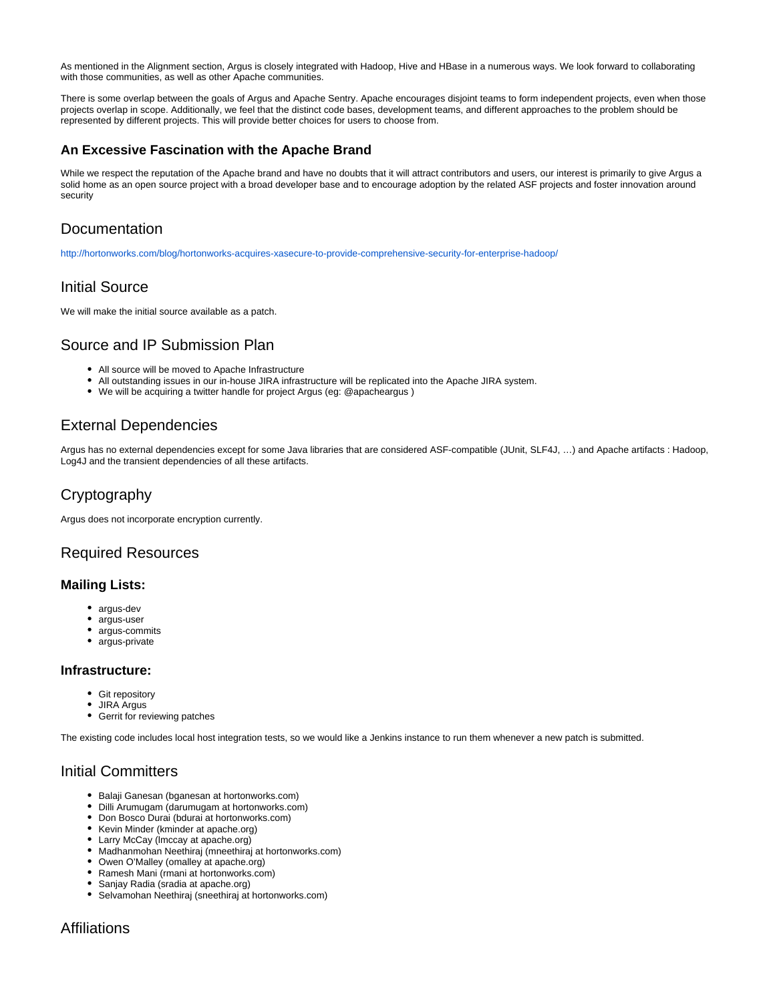As mentioned in the Alignment section, Argus is closely integrated with Hadoop, Hive and HBase in a numerous ways. We look forward to collaborating with those communities, as well as other Apache communities.

There is some overlap between the goals of Argus and Apache Sentry. Apache encourages disjoint teams to form independent projects, even when those projects overlap in scope. Additionally, we feel that the distinct code bases, development teams, and different approaches to the problem should be represented by different projects. This will provide better choices for users to choose from.

#### **An Excessive Fascination with the Apache Brand**

While we respect the reputation of the Apache brand and have no doubts that it will attract contributors and users, our interest is primarily to give Argus a solid home as an open source project with a broad developer base and to encourage adoption by the related ASF projects and foster innovation around security

# Documentation

<http://hortonworks.com/blog/hortonworks-acquires-xasecure-to-provide-comprehensive-security-for-enterprise-hadoop/>

### Initial Source

We will make the initial source available as a patch.

## Source and IP Submission Plan

- All source will be moved to Apache Infrastructure
- All outstanding issues in our in-house JIRA infrastructure will be replicated into the Apache JIRA system.
- We will be acquiring a twitter handle for project Argus (eg: @apacheargus )

### External Dependencies

Argus has no external dependencies except for some Java libraries that are considered ASF-compatible (JUnit, SLF4J, …) and Apache artifacts : Hadoop, Log4J and the transient dependencies of all these artifacts.

# **Cryptography**

Argus does not incorporate encryption currently.

### Required Resources

#### **Mailing Lists:**

- argus-dev
- argus-user
- argus-commits
- argus-private

#### **Infrastructure:**

- Git repository
- JIRA Argus
- Gerrit for reviewing patches

The existing code includes local host integration tests, so we would like a Jenkins instance to run them whenever a new patch is submitted.

### Initial Committers

- Balaji Ganesan (bganesan at hortonworks.com)
- Dilli Arumugam (darumugam at hortonworks.com)
- Don Bosco Durai (bdurai at hortonworks.com)
- Kevin Minder (kminder at apache.org)
- Larry McCay (lmccay at apache.org)
- Madhanmohan Neethiraj (mneethiraj at hortonworks.com)
- Owen O'Malley (omalley at apache.org)
- Ramesh Mani (rmani at hortonworks.com)
- Sanjay Radia (sradia at apache.org)
- Selvamohan Neethiraj (sneethiraj at hortonworks.com)

### **Affiliations**